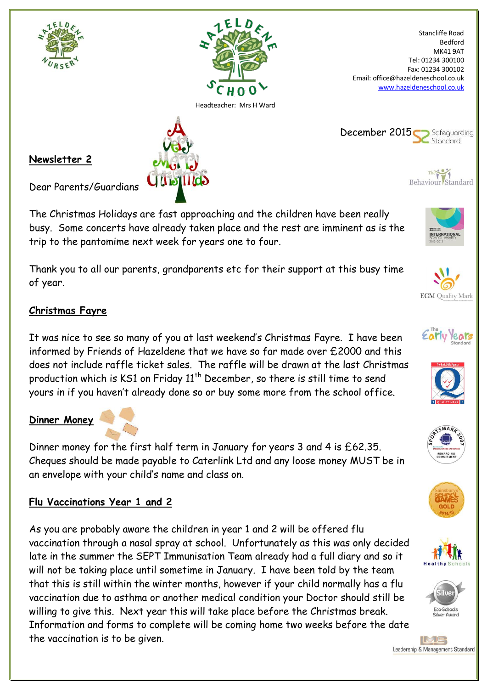

The Christmas Holidays are fast approaching and the children have been really busy. Some concerts have already taken place and the rest are imminent as is the trip to the pantomime next week for years one to four.

Thank you to all our parents, grandparents etc for their support at this busy time of year.

## **Christmas Fayre**

It was nice to see so many of you at last weekend's Christmas Fayre. I have been informed by Friends of Hazeldene that we have so far made over £2000 and this does not include raffle ticket sales. The raffle will be drawn at the last Christmas production which is KS1 on Friday  $11<sup>th</sup>$  December, so there is still time to send yours in if you haven't already done so or buy some more from the school office.

## **Dinner Money**

Dinner money for the first half term in January for years 3 and 4 is £62.35. Cheques should be made payable to Caterlink Ltd and any loose money MUST be in an envelope with your child's name and class on.

# **Flu Vaccinations Year 1 and 2**

As you are probably aware the children in year 1 and 2 will be offered flu vaccination through a nasal spray at school. Unfortunately as this was only decided late in the summer the SEPT Immunisation Team already had a full diary and so it will not be taking place until sometime in January. I have been told by the team that this is still within the winter months, however if your child normally has a flu vaccination due to asthma or another medical condition your Doctor should still be willing to give this. Next year this will take place before the Christmas break. Information and forms to complete will be coming home two weeks before the date the vaccination is to be given.



**ECM** Quality Mark

**ITERNATION** 











IMG Leadership & Management Standard